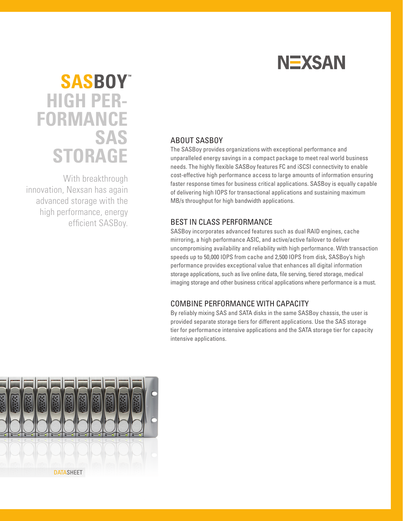

# **HIGH PER- FORMANCE SAS STORAGE SASBOY™**

With breakthrough innovation, Nexsan has again advanced storage with the high performance, energy efficient SASBoy.

## ABOUT SASBOY

The SASBoy provides organizations with exceptional performance and unparalleled energy savings in a compact package to meet real world business needs. The highly flexible SASBoy features FC and iSCSI connectivity to enable cost-effective high performance access to large amounts of information ensuring faster response times for business critical applications. SASBoy is equally capable of delivering high IOPS for transactional applications and sustaining maximum MB/s throughput for high bandwidth applications.

### BEST IN CLASS PERFORMANCE

SASBoy incorporates advanced features such as dual RAID engines, cache mirroring, a high performance ASIC, and active/active failover to deliver uncompromising availability and reliability with high performance. With transaction speeds up to 50,000 IOPS from cache and 2,500 IOPS from disk, SASBoy's high performance provides exceptional value that enhances all digital information storage applications, such as live online data, file serving, tiered storage, medical imaging storage and other business critical applications where performance is a must.

## COMBINE PERFORMANCE WITH CAPACITY

By reliably mixing SAS and SATA disks in the same SASBoy chassis, the user is provided separate storage tiers for different applications. Use the SAS storage tier for performance intensive applications and the SATA storage tier for capacity intensive applications.